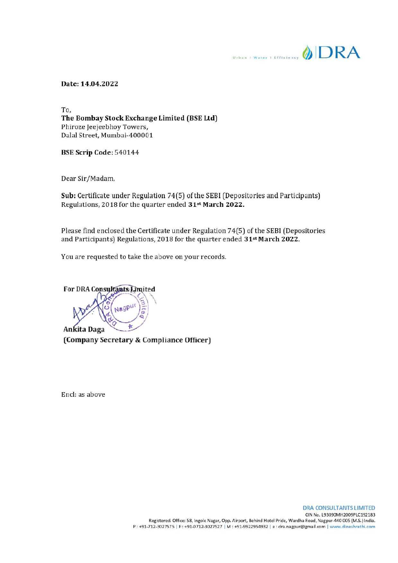**Column Little Water Your DRA** 

Date: 14.04.2022

To, The Bombay Stock Exchange Limited (BSE Ltd) Phiroze Jeejeebhoy Towers, Dalal Street, Mumbai-400001

BSE Scrip Code: 540144

Dear Sir/Madam,

Sub: Certificate under Regulation 74(5) of the SEBI (Depositories and Participants) Regulations, 2018 for the quarter ended 31<sup>st</sup> March 2022.

Please find enclosed the Certificate under Regulation 74(5) of the SEBI (Depositories and Participants) Regulations, 2018 for the quarter ended 31st March 2022.

You are requested to take the above on your records.

For DRA Consultants Limited  $\sim$   $\rightarrow$   $\gamma$ Ankita Daga

(Company Secretary & Compliance Officer)

Encl: as above